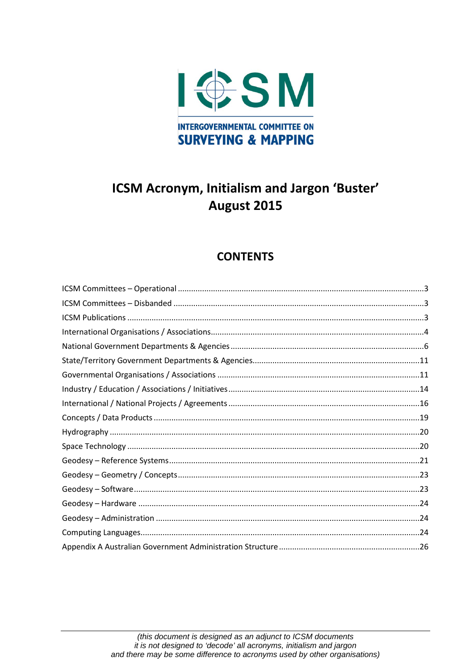

### **CONTENTS**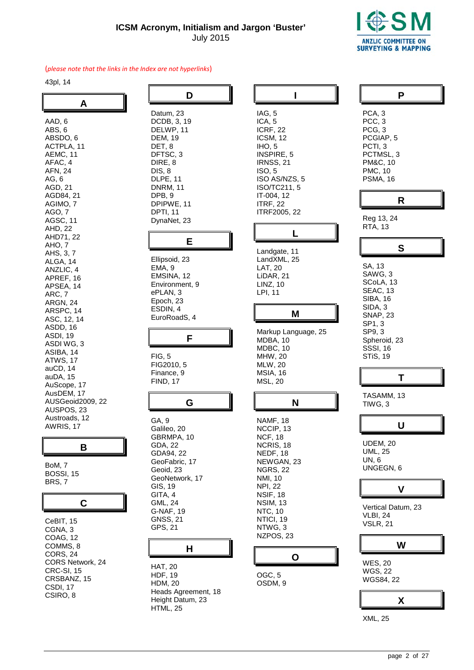

 $\overline{\mathbf{I}}$ 

╖

#### (*please note that the links in the Index are not hyperlinks*)

43pl, 14

| A                                                                                                                                                                                                                                                                                                                                                                                                                                                                                     |
|---------------------------------------------------------------------------------------------------------------------------------------------------------------------------------------------------------------------------------------------------------------------------------------------------------------------------------------------------------------------------------------------------------------------------------------------------------------------------------------|
| AAD, 6<br>ABS, 6<br>ABSDO, 6<br>ACTPLA, 11<br>AEMC, 11<br>AFAC, 4<br>AFN, 24<br>AG, 6<br>AGD, 21<br>AGD84, 21<br>AGIMO,<br>AGO, 7<br>AGSC, 11<br>AHD, 22<br>AHD71, 22<br>AHO, 7<br>AHS, 3, 7<br>ALGA, 14<br>ANZLIC, 4<br>APREF, 16<br>APSEA, 14<br>ARC, 7<br>ARGN, 24<br>ARSPC, 14<br>ASC, 12, 14<br>ASDD, 16<br>ASDI, 19<br>ASDI WG, 3<br>ASIBA, 14<br>ATWS, 17<br>auCD, 14<br>auDA, 15<br>AuScope, 17<br>AusDEM, 17<br>AUSGeoid2009, 22<br>AUSPOS, 23<br>Austroads, 12<br>AWRIS, 17 |
| I<br>В                                                                                                                                                                                                                                                                                                                                                                                                                                                                                |

BoM, 7 BOSSI, 15

BRS, 7

#### **C**

CeBIT, 15 CGNA, 3 COAG, 12 COMMS, 8 CORS, 24 CORS Network, 24 CRC-SI, 15 CRSBANZ, 15 CSDI, 17 CSIRO, 8

| Datum, 23<br>DCDB, 3, 19<br>DELWP, 11<br>DEM, 19<br>DET, 8<br>DFTSC, 3<br>DIRE, 8<br>DIS, 8<br>DLPE, 11<br>DNRM, 11<br>DPB, 9<br>DPIPWE, 11<br>DPTI, 11<br>DynaNet, 23                 |  |
|----------------------------------------------------------------------------------------------------------------------------------------------------------------------------------------|--|
| ⊢                                                                                                                                                                                      |  |
| Ellipsoid, 23<br>EMA, 9<br>EMSINA, 12<br>Environment, 9<br>ePLAN, 3<br>Epoch, 23<br>ESDIN, 4<br>EuroRoadS, 4                                                                           |  |
|                                                                                                                                                                                        |  |
| Н                                                                                                                                                                                      |  |
| FIG, 5<br>FIG2010, 5<br>Finance, 9<br>FIND, 17                                                                                                                                         |  |
| G                                                                                                                                                                                      |  |
| GA, 9<br>Galileo, 20<br>GBRMPA, 10<br>GDA, 22<br>GDA94, 22<br>GeoFabric, 17<br>Geoid, 23<br>GeoNetwork, 17<br>GIS, 19<br>GITA, 4<br>GML, 24<br>G-NAF, 19<br><b>GNSS, 21</b><br>GPS, 21 |  |
| н                                                                                                                                                                                      |  |

HAT, 20 HDF, 19 HDM, 20 Heads Agreement, 18 Height Datum, 23 HTML, 25

|                                                                                                                   | ı                                             |  |
|-------------------------------------------------------------------------------------------------------------------|-----------------------------------------------|--|
| IAG, 5<br>ICA, 5<br>ICRF, 22<br>ICSM, 12<br>IHO, 5<br>INSPIRE, 5<br>IRNSS, 21<br>ISO, 5<br>IT-004, 12<br>ITRF, 22 | ISO AS/NZS, 5<br>ISO/TC211, 5<br>ITRF2005, 22 |  |
|                                                                                                                   | ı                                             |  |
| LAT, 20<br>LiDAR, 21<br>LINZ, 10<br>LPI, 11                                                                       | Landgate, 11<br>LandXML, 25                   |  |
|                                                                                                                   | M                                             |  |
| MDBA, 10<br>MDBC, 10<br>MHW, 20<br>MLW, 20<br>MSIA, 16<br>MSL, 20                                                 | Markup Language, 25                           |  |
|                                                                                                                   | N                                             |  |
|                                                                                                                   |                                               |  |

## **O**

OGC, 5 OSDM, 9

| PCA, 3<br>PCC, 3<br>PCG, 3<br>PCGIAP, 5<br>PCTI, 3<br>PCTMSL, 3<br>PM&C, 10<br>PMC, 10<br>PSMA, 16                                               |
|--------------------------------------------------------------------------------------------------------------------------------------------------|
| R                                                                                                                                                |
| Reg 13, 24<br><b>RTA, 13</b>                                                                                                                     |
|                                                                                                                                                  |
| SA, 13<br>SAWG, 3<br>SCoLA, 13<br>SEAC, 13<br>SIBA, 16<br>SIDA, 3<br><b>SNAP, 23</b><br>SP1, 3<br>SP9, 3<br>Spheroid, 23<br>SSSI, 16<br>STiS, 19 |
|                                                                                                                                                  |
| TASAMM, 13<br>TIWG, 3                                                                                                                            |
| U                                                                                                                                                |
| UDEM, 20<br><b>UML, 25</b><br>UN, 6<br>UNGEGN, 6                                                                                                 |
|                                                                                                                                                  |
| Vertical Datum, 23<br><b>VLBI, 24</b><br>VSLR, 21                                                                                                |
|                                                                                                                                                  |
| <b>WES, 20</b><br>WGS, 22<br>WGS84, 22                                                                                                           |
| х                                                                                                                                                |

XML, 25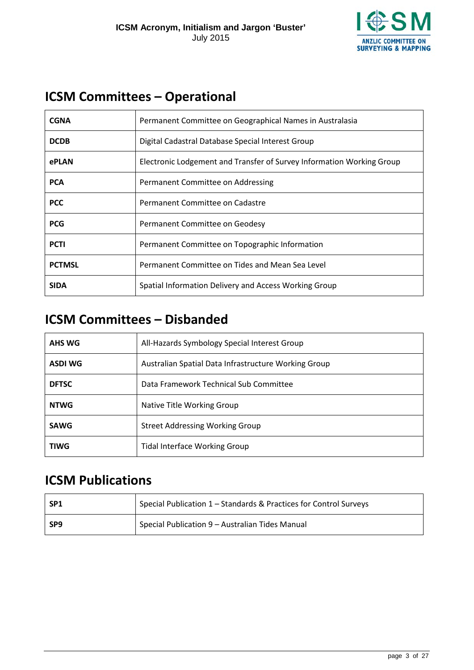

### <span id="page-2-0"></span>**ICSM Committees – Operational**

| <b>CGNA</b>   | Permanent Committee on Geographical Names in Australasia              |
|---------------|-----------------------------------------------------------------------|
| <b>DCDB</b>   | Digital Cadastral Database Special Interest Group                     |
| ePLAN         | Electronic Lodgement and Transfer of Survey Information Working Group |
| <b>PCA</b>    | Permanent Committee on Addressing                                     |
| <b>PCC</b>    | Permanent Committee on Cadastre                                       |
| <b>PCG</b>    | Permanent Committee on Geodesy                                        |
| <b>PCTI</b>   | Permanent Committee on Topographic Information                        |
| <b>PCTMSL</b> | Permanent Committee on Tides and Mean Sea Level                       |
| <b>SIDA</b>   | Spatial Information Delivery and Access Working Group                 |

### <span id="page-2-1"></span>**ICSM Committees – Disbanded**

| AHS WG         | All-Hazards Symbology Special Interest Group         |
|----------------|------------------------------------------------------|
| <b>ASDI WG</b> | Australian Spatial Data Infrastructure Working Group |
| <b>DFTSC</b>   | Data Framework Technical Sub Committee               |
| <b>NTWG</b>    | Native Title Working Group                           |
| <b>SAWG</b>    | <b>Street Addressing Working Group</b>               |
| <b>TIWG</b>    | <b>Tidal Interface Working Group</b>                 |

### <span id="page-2-2"></span>**ICSM Publications**

| -SP1 | Special Publication 1 - Standards & Practices for Control Surveys |
|------|-------------------------------------------------------------------|
| SP9  | Special Publication 9 - Australian Tides Manual                   |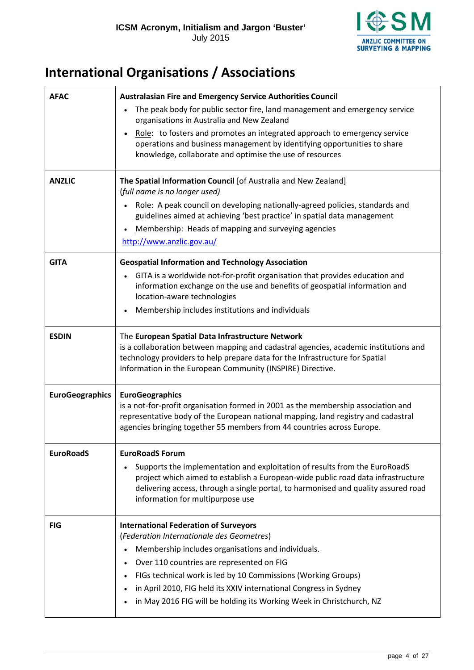

### <span id="page-3-0"></span>**International Organisations / Associations**

<span id="page-3-2"></span><span id="page-3-1"></span>

| <b>AFAC</b><br><b>ANZLIC</b> | <b>Australasian Fire and Emergency Service Authorities Council</b><br>The peak body for public sector fire, land management and emergency service<br>organisations in Australia and New Zealand<br>Role: to fosters and promotes an integrated approach to emergency service<br>operations and business management by identifying opportunities to share<br>knowledge, collaborate and optimise the use of resources<br>The Spatial Information Council [of Australia and New Zealand]<br>(full name is no longer used)<br>Role: A peak council on developing nationally-agreed policies, standards and<br>guidelines aimed at achieving 'best practice' in spatial data management<br>Membership: Heads of mapping and surveying agencies<br>http://www.anzlic.gov.au/ |
|------------------------------|-------------------------------------------------------------------------------------------------------------------------------------------------------------------------------------------------------------------------------------------------------------------------------------------------------------------------------------------------------------------------------------------------------------------------------------------------------------------------------------------------------------------------------------------------------------------------------------------------------------------------------------------------------------------------------------------------------------------------------------------------------------------------|
| <b>GITA</b>                  | <b>Geospatial Information and Technology Association</b><br>GITA is a worldwide not-for-profit organisation that provides education and                                                                                                                                                                                                                                                                                                                                                                                                                                                                                                                                                                                                                                 |
|                              | information exchange on the use and benefits of geospatial information and<br>location-aware technologies<br>Membership includes institutions and individuals                                                                                                                                                                                                                                                                                                                                                                                                                                                                                                                                                                                                           |
| <b>ESDIN</b>                 | The European Spatial Data Infrastructure Network<br>is a collaboration between mapping and cadastral agencies, academic institutions and<br>technology providers to help prepare data for the Infrastructure for Spatial<br>Information in the European Community (INSPIRE) Directive.                                                                                                                                                                                                                                                                                                                                                                                                                                                                                  |
| <b>EuroGeographics</b>       | <b>EuroGeographics</b><br>is a not-for-profit organisation formed in 2001 as the membership association and<br>representative body of the European national mapping, land registry and cadastral<br>agencies bringing together 55 members from 44 countries across Europe.                                                                                                                                                                                                                                                                                                                                                                                                                                                                                              |
| <b>EuroRoadS</b>             | <b>EuroRoadS Forum</b>                                                                                                                                                                                                                                                                                                                                                                                                                                                                                                                                                                                                                                                                                                                                                  |
|                              | Supports the implementation and exploitation of results from the EuroRoadS<br>project which aimed to establish a European-wide public road data infrastructure<br>delivering access, through a single portal, to harmonised and quality assured road<br>information for multipurpose use                                                                                                                                                                                                                                                                                                                                                                                                                                                                                |
| <b>FIG</b>                   | <b>International Federation of Surveyors</b>                                                                                                                                                                                                                                                                                                                                                                                                                                                                                                                                                                                                                                                                                                                            |
|                              | (Federation Internationale des Geometres)<br>Membership includes organisations and individuals.                                                                                                                                                                                                                                                                                                                                                                                                                                                                                                                                                                                                                                                                         |
|                              | Over 110 countries are represented on FIG                                                                                                                                                                                                                                                                                                                                                                                                                                                                                                                                                                                                                                                                                                                               |
|                              | FIGs technical work is led by 10 Commissions (Working Groups)                                                                                                                                                                                                                                                                                                                                                                                                                                                                                                                                                                                                                                                                                                           |
|                              | in April 2010, FIG held its XXIV international Congress in Sydney                                                                                                                                                                                                                                                                                                                                                                                                                                                                                                                                                                                                                                                                                                       |
|                              | in May 2016 FIG will be holding its Working Week in Christchurch, NZ                                                                                                                                                                                                                                                                                                                                                                                                                                                                                                                                                                                                                                                                                                    |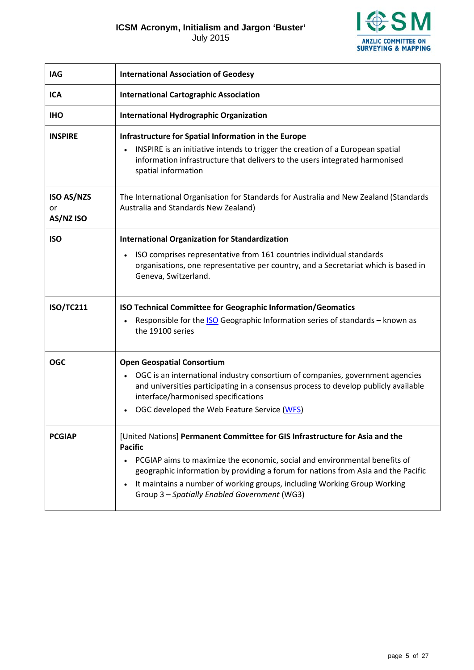July 2015



<span id="page-4-2"></span><span id="page-4-1"></span><span id="page-4-0"></span>

| <b>IAG</b>                           | <b>International Association of Geodesy</b>                                                                                                                                                                                                  |
|--------------------------------------|----------------------------------------------------------------------------------------------------------------------------------------------------------------------------------------------------------------------------------------------|
| <b>ICA</b>                           | <b>International Cartographic Association</b>                                                                                                                                                                                                |
| <b>IHO</b>                           | <b>International Hydrographic Organization</b>                                                                                                                                                                                               |
| <b>INSPIRE</b>                       | Infrastructure for Spatial Information in the Europe<br>INSPIRE is an initiative intends to trigger the creation of a European spatial<br>information infrastructure that delivers to the users integrated harmonised<br>spatial information |
| <b>ISO AS/NZS</b><br>or<br>AS/NZ ISO | The International Organisation for Standards for Australia and New Zealand (Standards<br>Australia and Standards New Zealand)                                                                                                                |
| <b>ISO</b>                           | <b>International Organization for Standardization</b>                                                                                                                                                                                        |
|                                      | ISO comprises representative from 161 countries individual standards<br>organisations, one representative per country, and a Secretariat which is based in<br>Geneva, Switzerland.                                                           |
| <b>ISO/TC211</b>                     | ISO Technical Committee for Geographic Information/Geomatics                                                                                                                                                                                 |
|                                      | Responsible for the <b>ISO</b> Geographic Information series of standards - known as<br>the 19100 series                                                                                                                                     |
| <b>OGC</b>                           | <b>Open Geospatial Consortium</b>                                                                                                                                                                                                            |
|                                      | OGC is an international industry consortium of companies, government agencies<br>and universities participating in a consensus process to develop publicly available<br>interface/harmonised specifications                                  |
|                                      | OGC developed the Web Feature Service (WFS)                                                                                                                                                                                                  |
| <b>PCGIAP</b>                        | [United Nations] Permanent Committee for GIS Infrastructure for Asia and the<br><b>Pacific</b>                                                                                                                                               |
|                                      | PCGIAP aims to maximize the economic, social and environmental benefits of<br>geographic information by providing a forum for nations from Asia and the Pacific                                                                              |
|                                      | It maintains a number of working groups, including Working Group Working<br>Group 3 - Spatially Enabled Government (WG3)                                                                                                                     |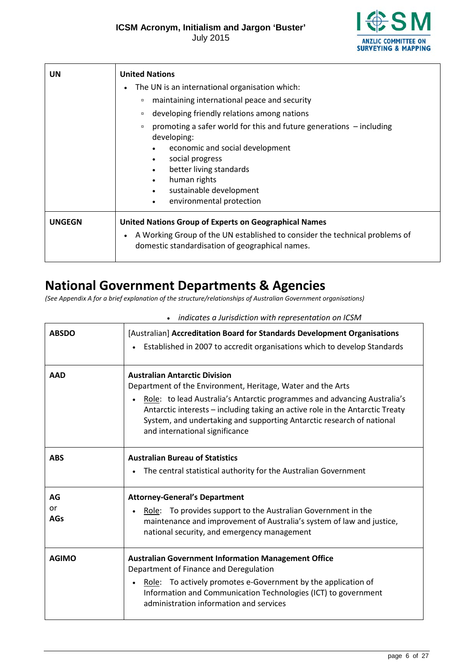July 2015



| <b>UN</b>     | <b>United Nations</b><br>The UN is an international organisation which:<br>maintaining international peace and security<br>$\Box$<br>developing friendly relations among nations<br>$\Box$<br>promoting a safer world for this and future generations $-$ including<br>$\Box$<br>developing:<br>economic and social development<br>social progress<br>٠<br>better living standards<br>human rights<br>$\bullet$<br>sustainable development<br>$\bullet$<br>environmental protection<br>$\bullet$ |
|---------------|--------------------------------------------------------------------------------------------------------------------------------------------------------------------------------------------------------------------------------------------------------------------------------------------------------------------------------------------------------------------------------------------------------------------------------------------------------------------------------------------------|
| <b>UNGEGN</b> | <b>United Nations Group of Experts on Geographical Names</b><br>A Working Group of the UN established to consider the technical problems of<br>domestic standardisation of geographical names.                                                                                                                                                                                                                                                                                                   |

### <span id="page-5-0"></span>**National Government Departments & Agencies**

*(See Appendix A for a brief explanation of the structure/relationships of Australian Government organisations)*

<span id="page-5-2"></span><span id="page-5-1"></span>

| <b>ABSDO</b>           | [Australian] Accreditation Board for Standards Development Organisations<br>Established in 2007 to accredit organisations which to develop Standards                                                                                                                                                                                                                        |
|------------------------|-----------------------------------------------------------------------------------------------------------------------------------------------------------------------------------------------------------------------------------------------------------------------------------------------------------------------------------------------------------------------------|
| <b>AAD</b>             | <b>Australian Antarctic Division</b><br>Department of the Environment, Heritage, Water and the Arts<br>Role: to lead Australia's Antarctic programmes and advancing Australia's<br>Antarctic interests - including taking an active role in the Antarctic Treaty<br>System, and undertaking and supporting Antarctic research of national<br>and international significance |
| <b>ABS</b>             | <b>Australian Bureau of Statistics</b><br>The central statistical authority for the Australian Government                                                                                                                                                                                                                                                                   |
| AG<br>or<br><b>AGs</b> | <b>Attorney-General's Department</b><br>Role: To provides support to the Australian Government in the<br>maintenance and improvement of Australia's system of law and justice,<br>national security, and emergency management                                                                                                                                               |
| <b>AGIMO</b>           | <b>Australian Government Information Management Office</b><br>Department of Finance and Deregulation<br>Role: To actively promotes e-Government by the application of<br>Information and Communication Technologies (ICT) to government<br>administration information and services                                                                                          |

• *indicates a Jurisdiction with representation on ICSM*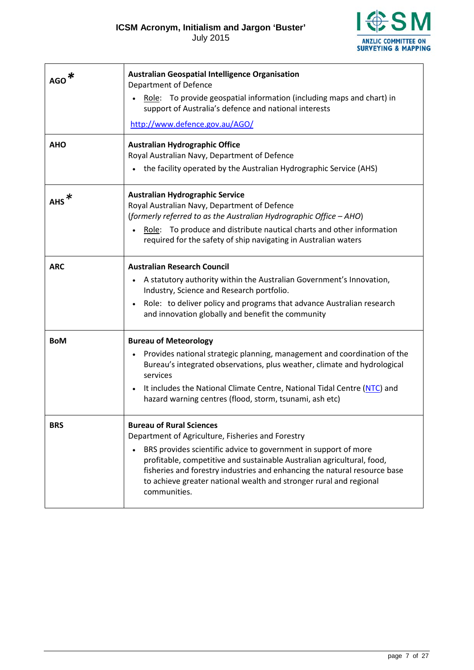

<span id="page-6-1"></span><span id="page-6-0"></span>

| <b>AGO</b> | <b>Australian Geospatial Intelligence Organisation</b><br>Department of Defence<br>Role: To provide geospatial information (including maps and chart) in<br>support of Australia's defence and national interests                                                                                                                                                                                                 |
|------------|-------------------------------------------------------------------------------------------------------------------------------------------------------------------------------------------------------------------------------------------------------------------------------------------------------------------------------------------------------------------------------------------------------------------|
|            | http://www.defence.gov.au/AGO/                                                                                                                                                                                                                                                                                                                                                                                    |
| <b>AHO</b> | <b>Australian Hydrographic Office</b><br>Royal Australian Navy, Department of Defence<br>• the facility operated by the Australian Hydrographic Service (AHS)                                                                                                                                                                                                                                                     |
| <b>AHS</b> | <b>Australian Hydrographic Service</b><br>Royal Australian Navy, Department of Defence<br>(formerly referred to as the Australian Hydrographic Office - AHO)<br>Role: To produce and distribute nautical charts and other information<br>required for the safety of ship navigating in Australian waters                                                                                                          |
| <b>ARC</b> | <b>Australian Research Council</b><br>A statutory authority within the Australian Government's Innovation,<br>$\bullet$<br>Industry, Science and Research portfolio.<br>Role: to deliver policy and programs that advance Australian research<br>$\bullet$<br>and innovation globally and benefit the community                                                                                                   |
| <b>BoM</b> | <b>Bureau of Meteorology</b><br>Provides national strategic planning, management and coordination of the<br>$\bullet$<br>Bureau's integrated observations, plus weather, climate and hydrological<br>services<br>It includes the National Climate Centre, National Tidal Centre (NTC) and<br>$\bullet$<br>hazard warning centres (flood, storm, tsunami, ash etc)                                                 |
| <b>BRS</b> | <b>Bureau of Rural Sciences</b><br>Department of Agriculture, Fisheries and Forestry<br>BRS provides scientific advice to government in support of more<br>$\bullet$<br>profitable, competitive and sustainable Australian agricultural, food,<br>fisheries and forestry industries and enhancing the natural resource base<br>to achieve greater national wealth and stronger rural and regional<br>communities. |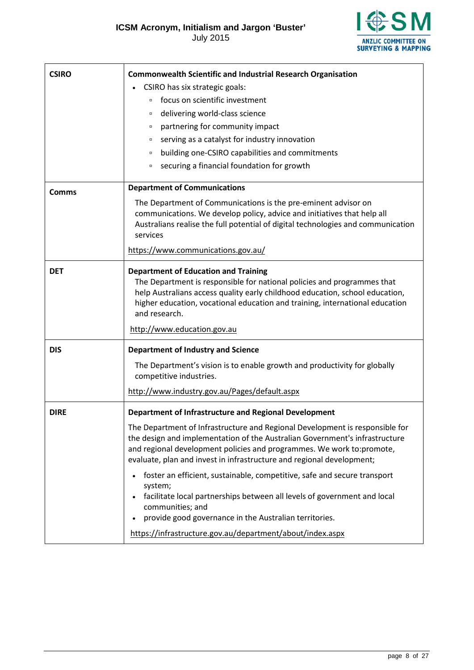**ESM ANZLIC COMMITTEE ON<br>SURVEYING & MAPPING** 

<span id="page-7-0"></span>

| <b>CSIRO</b> | <b>Commonwealth Scientific and Industrial Research Organisation</b>                                                                                                                                                                                                                                                                    |
|--------------|----------------------------------------------------------------------------------------------------------------------------------------------------------------------------------------------------------------------------------------------------------------------------------------------------------------------------------------|
|              | CSIRO has six strategic goals:                                                                                                                                                                                                                                                                                                         |
|              | focus on scientific investment<br>$\Box$                                                                                                                                                                                                                                                                                               |
|              | delivering world-class science<br>$\Box$                                                                                                                                                                                                                                                                                               |
|              | partnering for community impact<br>$\Box$                                                                                                                                                                                                                                                                                              |
|              | serving as a catalyst for industry innovation<br>$\Box$                                                                                                                                                                                                                                                                                |
|              | building one-CSIRO capabilities and commitments<br>$\Box$                                                                                                                                                                                                                                                                              |
|              | securing a financial foundation for growth<br>$\Box$                                                                                                                                                                                                                                                                                   |
| <b>Comms</b> | <b>Department of Communications</b>                                                                                                                                                                                                                                                                                                    |
|              | The Department of Communications is the pre-eminent advisor on<br>communications. We develop policy, advice and initiatives that help all<br>Australians realise the full potential of digital technologies and communication<br>services                                                                                              |
|              | https://www.communications.gov.au/                                                                                                                                                                                                                                                                                                     |
| <b>DET</b>   | <b>Department of Education and Training</b><br>The Department is responsible for national policies and programmes that<br>help Australians access quality early childhood education, school education,<br>higher education, vocational education and training, international education<br>and research.<br>http://www.education.gov.au |
|              |                                                                                                                                                                                                                                                                                                                                        |
| <b>DIS</b>   | <b>Department of Industry and Science</b>                                                                                                                                                                                                                                                                                              |
|              | The Department's vision is to enable growth and productivity for globally<br>competitive industries.                                                                                                                                                                                                                                   |
|              | http://www.industry.gov.au/Pages/default.aspx                                                                                                                                                                                                                                                                                          |
| <b>DIRE</b>  | Department of Infrastructure and Regional Development                                                                                                                                                                                                                                                                                  |
|              | The Department of Infrastructure and Regional Development is responsible for<br>the design and implementation of the Australian Government's infrastructure<br>and regional development policies and programmes. We work to: promote,<br>evaluate, plan and invest in infrastructure and regional development;                         |
|              | foster an efficient, sustainable, competitive, safe and secure transport<br>$\bullet$<br>system;<br>facilitate local partnerships between all levels of government and local<br>communities; and<br>provide good governance in the Australian territories.<br>$\bullet$                                                                |
|              | https://infrastructure.gov.au/department/about/index.aspx                                                                                                                                                                                                                                                                              |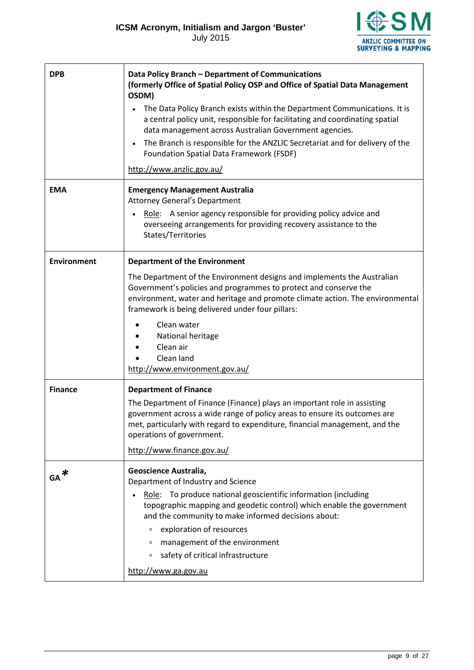

<span id="page-8-1"></span><span id="page-8-0"></span>

| <b>DPB</b>         | Data Policy Branch - Department of Communications<br>(formerly Office of Spatial Policy OSP and Office of Spatial Data Management<br>OSDM)<br>The Data Policy Branch exists within the Department Communications. It is<br>a central policy unit, responsible for facilitating and coordinating spatial<br>data management across Australian Government agencies.<br>The Branch is responsible for the ANZLIC Secretariat and for delivery of the<br>$\bullet$<br><b>Foundation Spatial Data Framework (FSDF)</b><br>http://www.anzlic.gov.au/ |
|--------------------|------------------------------------------------------------------------------------------------------------------------------------------------------------------------------------------------------------------------------------------------------------------------------------------------------------------------------------------------------------------------------------------------------------------------------------------------------------------------------------------------------------------------------------------------|
|                    |                                                                                                                                                                                                                                                                                                                                                                                                                                                                                                                                                |
| <b>EMA</b>         | <b>Emergency Management Australia</b><br><b>Attorney General's Department</b><br>Role: A senior agency responsible for providing policy advice and<br>$\bullet$<br>overseeing arrangements for providing recovery assistance to the<br>States/Territories                                                                                                                                                                                                                                                                                      |
| <b>Environment</b> | <b>Department of the Environment</b>                                                                                                                                                                                                                                                                                                                                                                                                                                                                                                           |
|                    | The Department of the Environment designs and implements the Australian<br>Government's policies and programmes to protect and conserve the<br>environment, water and heritage and promote climate action. The environmental<br>framework is being delivered under four pillars:<br>Clean water<br>National heritage<br>Clean air<br>Clean land<br>http://www.environment.gov.au/                                                                                                                                                              |
| <b>Finance</b>     | <b>Department of Finance</b><br>The Department of Finance (Finance) plays an important role in assisting<br>government across a wide range of policy areas to ensure its outcomes are<br>met, particularly with regard to expenditure, financial management, and the<br>operations of government.<br>http://www.finance.gov.au/                                                                                                                                                                                                                |
| $GA^*$             | Geoscience Australia,<br>Department of Industry and Science<br>Role: To produce national geoscientific information (including<br>topographic mapping and geodetic control) which enable the government<br>and the community to make informed decisions about:<br>exploration of resources<br>$\Box$<br>management of the environment<br>$\Box$<br>safety of critical infrastructure<br>$\Box$<br>http://www.ga.gov.au                                                                                                                          |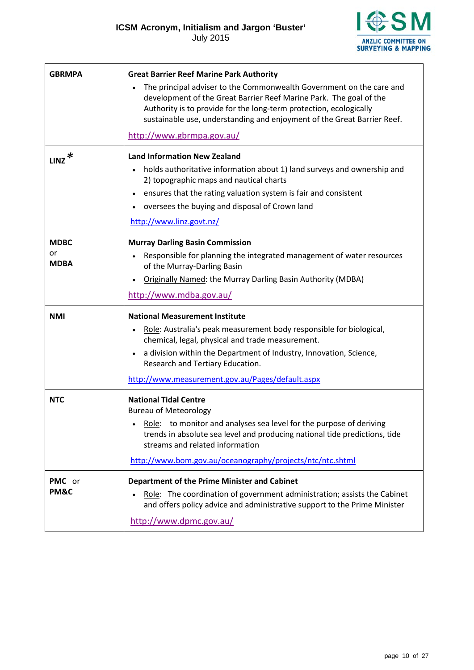

<span id="page-9-2"></span><span id="page-9-1"></span><span id="page-9-0"></span>

| <b>GBRMPA</b>                    | <b>Great Barrier Reef Marine Park Authority</b><br>The principal adviser to the Commonwealth Government on the care and<br>development of the Great Barrier Reef Marine Park. The goal of the<br>Authority is to provide for the long-term protection, ecologically<br>sustainable use, understanding and enjoyment of the Great Barrier Reef.<br>http://www.gbrmpa.gov.au/ |
|----------------------------------|-----------------------------------------------------------------------------------------------------------------------------------------------------------------------------------------------------------------------------------------------------------------------------------------------------------------------------------------------------------------------------|
| $_{\rm LINZ}$ $\ast$             | <b>Land Information New Zealand</b><br>holds authoritative information about 1) land surveys and ownership and<br>$\bullet$<br>2) topographic maps and nautical charts<br>ensures that the rating valuation system is fair and consistent<br>$\bullet$<br>oversees the buying and disposal of Crown land<br>http://www.linz.govt.nz/                                        |
| <b>MDBC</b><br>or<br><b>MDBA</b> | <b>Murray Darling Basin Commission</b><br>Responsible for planning the integrated management of water resources<br>$\bullet$<br>of the Murray-Darling Basin<br>Originally Named: the Murray Darling Basin Authority (MDBA)<br>http://www.mdba.gov.au/                                                                                                                       |
| <b>NMI</b>                       | <b>National Measurement Institute</b><br>Role: Australia's peak measurement body responsible for biological,<br>$\bullet$<br>chemical, legal, physical and trade measurement.<br>a division within the Department of Industry, Innovation, Science,<br>$\bullet$<br>Research and Tertiary Education.<br>http://www.measurement.gov.au/Pages/default.aspx                    |
| <b>NTC</b>                       | <b>National Tidal Centre</b><br><b>Bureau of Meteorology</b><br>Role: to monitor and analyses sea level for the purpose of deriving<br>trends in absolute sea level and producing national tide predictions, tide<br>streams and related information<br>http://www.bom.gov.au/oceanography/projects/ntc/ntc.shtml                                                           |
| PMC or<br>PM&C                   | <b>Department of the Prime Minister and Cabinet</b><br>Role: The coordination of government administration; assists the Cabinet<br>and offers policy advice and administrative support to the Prime Minister<br>http://www.dpmc.gov.au/                                                                                                                                     |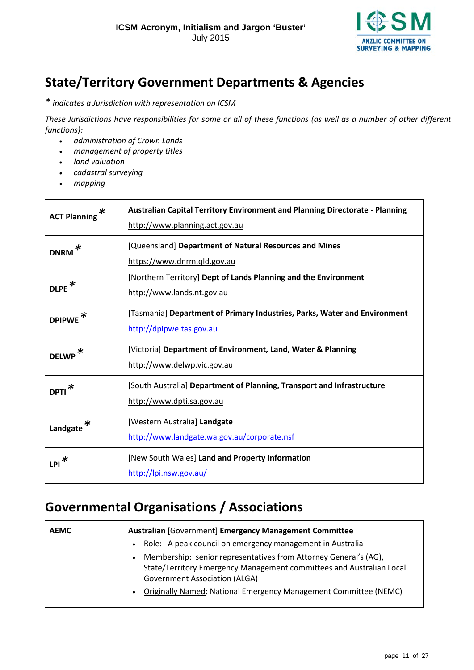

### **State/Territory Government Departments & Agencies**

*\* indicates a Jurisdiction with representation on ICSM* 

*These Jurisdictions have responsibilities for some or all of these functions (as well as a number of other different functions):*

- *administration of Crown Lands*
- *management of property titles*
- *land valuation*
- *cadastral surveying*
- *mapping*

| ∗<br><b>ACT Planning</b> | Australian Capital Territory Environment and Planning Directorate - Planning<br>http://www.planning.act.gov.au |
|--------------------------|----------------------------------------------------------------------------------------------------------------|
| ∗<br><b>DNRM</b>         | [Queensland] Department of Natural Resources and Mines<br>https://www.dnrm.qld.gov.au                          |
| <b>DLPE</b>              | [Northern Territory] Dept of Lands Planning and the Environment<br>http://www.lands.nt.gov.au                  |
| <b>DPIPWE</b>            | [Tasmania] Department of Primary Industries, Parks, Water and Environment<br>http://dpipwe.tas.gov.au          |
| ∗<br><b>DELWP</b>        | [Victoria] Department of Environment, Land, Water & Planning<br>http://www.delwp.vic.gov.au                    |
| <b>DPTI</b>              | [South Australia] Department of Planning, Transport and Infrastructure<br>http://www.dpti.sa.gov.au            |
| Landgate                 | [Western Australia] Landgate<br>http://www.landgate.wa.gov.au/corporate.nsf                                    |
| $LPI^*$                  | [New South Wales] Land and Property Information<br>http://lpi.nsw.gov.au/                                      |

### <span id="page-10-0"></span>**Governmental Organisations / Associations**

| <b>AEMC</b> | <b>Australian [Government] Emergency Management Committee</b>                                                                                                                                 |
|-------------|-----------------------------------------------------------------------------------------------------------------------------------------------------------------------------------------------|
|             | Role: A peak council on emergency management in Australia<br>$\bullet$                                                                                                                        |
|             | Membership: senior representatives from Attorney General's (AG),<br>$\bullet$<br>State/Territory Emergency Management committees and Australian Local<br><b>Government Association (ALGA)</b> |
|             | Originally Named: National Emergency Management Committee (NEMC)<br>$\bullet$                                                                                                                 |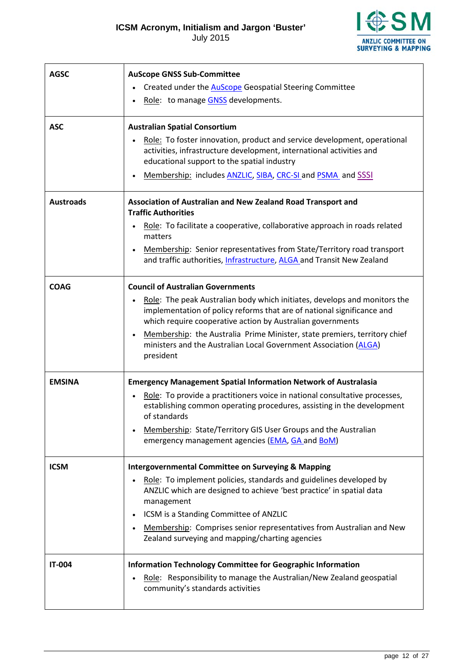**I卷SM** ANZLIC COMMITTEE ON<br>SURVEYING & MAPPING

<span id="page-11-0"></span>

| <b>AGSC</b>      | <b>AuScope GNSS Sub-Committee</b>                                                                                                                                                                                              |
|------------------|--------------------------------------------------------------------------------------------------------------------------------------------------------------------------------------------------------------------------------|
|                  | Created under the <b>AuScope</b> Geospatial Steering Committee                                                                                                                                                                 |
|                  | Role: to manage GNSS developments.                                                                                                                                                                                             |
| <b>ASC</b>       | <b>Australian Spatial Consortium</b>                                                                                                                                                                                           |
|                  | Role: To foster innovation, product and service development, operational<br>activities, infrastructure development, international activities and<br>educational support to the spatial industry                                |
|                  | Membership: includes ANZLIC, SIBA, CRC-SI and PSMA and SSSI                                                                                                                                                                    |
| <b>Austroads</b> | Association of Australian and New Zealand Road Transport and<br><b>Traffic Authorities</b>                                                                                                                                     |
|                  | Role: To facilitate a cooperative, collaborative approach in roads related<br>$\bullet$<br>matters                                                                                                                             |
|                  | Membership: Senior representatives from State/Territory road transport<br>and traffic authorities, Infrastructure, ALGA and Transit New Zealand                                                                                |
| <b>COAG</b>      | <b>Council of Australian Governments</b>                                                                                                                                                                                       |
|                  | Role: The peak Australian body which initiates, develops and monitors the<br>$\bullet$<br>implementation of policy reforms that are of national significance and<br>which require cooperative action by Australian governments |
|                  | Membership: the Australia Prime Minister, state premiers, territory chief<br>$\bullet$<br>ministers and the Australian Local Government Association (ALGA)<br>president                                                        |
| <b>EMSINA</b>    | <b>Emergency Management Spatial Information Network of Australasia</b>                                                                                                                                                         |
|                  | Role: To provide a practitioners voice in national consultative processes,<br>$\bullet$<br>establishing common operating procedures, assisting in the development<br>of standards                                              |
|                  | Membership: State/Territory GIS User Groups and the Australian<br>$\bullet$<br>emergency management agencies (EMA, GA and BoM)                                                                                                 |
| <b>ICSM</b>      | <b>Intergovernmental Committee on Surveying &amp; Mapping</b>                                                                                                                                                                  |
|                  | Role: To implement policies, standards and guidelines developed by<br>$\bullet$<br>ANZLIC which are designed to achieve 'best practice' in spatial data<br>management                                                          |
|                  | ICSM is a Standing Committee of ANZLIC<br>$\bullet$                                                                                                                                                                            |
|                  | Membership: Comprises senior representatives from Australian and New<br>$\bullet$<br>Zealand surveying and mapping/charting agencies                                                                                           |
| <b>IT-004</b>    | Information Technology Committee for Geographic Information<br>Role: Responsibility to manage the Australian/New Zealand geospatial<br>community's standards activities                                                        |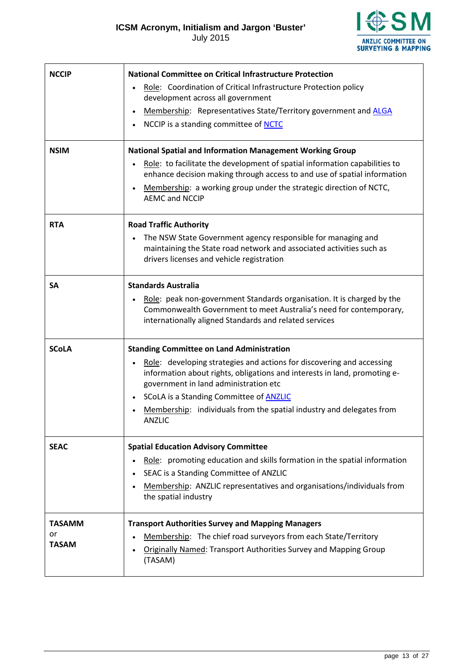**I<br>参SM ANZLIC COMMITTEE ON<br>SURVEYING & MAPPING** 

| <b>NCCIP</b>                        | <b>National Committee on Critical Infrastructure Protection</b><br>Role: Coordination of Critical Infrastructure Protection policy<br>development across all government<br>Membership: Representatives State/Territory government and ALGA<br>$\bullet$<br>NCCIP is a standing committee of NCTC                                                                                                        |
|-------------------------------------|---------------------------------------------------------------------------------------------------------------------------------------------------------------------------------------------------------------------------------------------------------------------------------------------------------------------------------------------------------------------------------------------------------|
| <b>NSIM</b>                         | <b>National Spatial and Information Management Working Group</b><br>Role: to facilitate the development of spatial information capabilities to<br>enhance decision making through access to and use of spatial information<br>Membership: a working group under the strategic direction of NCTC,<br>$\bullet$<br><b>AEMC and NCCIP</b>                                                                  |
| <b>RTA</b>                          | <b>Road Traffic Authority</b><br>The NSW State Government agency responsible for managing and<br>$\bullet$<br>maintaining the State road network and associated activities such as<br>drivers licenses and vehicle registration                                                                                                                                                                         |
| <b>SA</b>                           | <b>Standards Australia</b><br>Role: peak non-government Standards organisation. It is charged by the<br>$\bullet$<br>Commonwealth Government to meet Australia's need for contemporary,<br>internationally aligned Standards and related services                                                                                                                                                       |
| <b>SCoLA</b>                        | <b>Standing Committee on Land Administration</b><br>Role: developing strategies and actions for discovering and accessing<br>information about rights, obligations and interests in land, promoting e-<br>government in land administration etc<br>SCoLA is a Standing Committee of <b>ANZLIC</b><br>$\bullet$<br>Membership: individuals from the spatial industry and delegates from<br><b>ANZLIC</b> |
| <b>SEAC</b>                         | <b>Spatial Education Advisory Committee</b><br>Role: promoting education and skills formation in the spatial information<br>$\bullet$<br>SEAC is a Standing Committee of ANZLIC<br>$\bullet$<br>Membership: ANZLIC representatives and organisations/individuals from<br>$\bullet$<br>the spatial industry                                                                                              |
| <b>TASAMM</b><br>or<br><b>TASAM</b> | <b>Transport Authorities Survey and Mapping Managers</b><br>Membership: The chief road surveyors from each State/Territory<br>$\bullet$<br><b>Originally Named: Transport Authorities Survey and Mapping Group</b><br>(TASAM)                                                                                                                                                                           |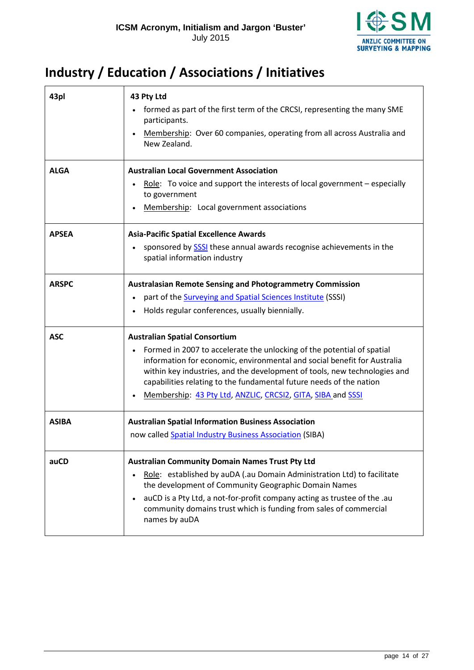

### <span id="page-13-0"></span>**Industry / Education / Associations / Initiatives**

| 43pl         | 43 Pty Ltd<br>formed as part of the first term of the CRCSI, representing the many SME<br>participants.<br>Membership: Over 60 companies, operating from all across Australia and<br>$\bullet$<br>New Zealand.                                                                                                                                                                                                             |
|--------------|----------------------------------------------------------------------------------------------------------------------------------------------------------------------------------------------------------------------------------------------------------------------------------------------------------------------------------------------------------------------------------------------------------------------------|
| <b>ALGA</b>  | <b>Australian Local Government Association</b><br>Role: To voice and support the interests of local government $-$ especially<br>$\bullet$<br>to government                                                                                                                                                                                                                                                                |
|              | Membership: Local government associations                                                                                                                                                                                                                                                                                                                                                                                  |
| <b>APSEA</b> | <b>Asia-Pacific Spatial Excellence Awards</b><br>sponsored by SSSI these annual awards recognise achievements in the<br>$\bullet$<br>spatial information industry                                                                                                                                                                                                                                                          |
| <b>ARSPC</b> | <b>Australasian Remote Sensing and Photogrammetry Commission</b><br>part of the <b>Surveying and Spatial Sciences Institute</b> (SSSI)<br>$\bullet$<br>Holds regular conferences, usually biennially.                                                                                                                                                                                                                      |
| <b>ASC</b>   | <b>Australian Spatial Consortium</b><br>Formed in 2007 to accelerate the unlocking of the potential of spatial<br>$\bullet$<br>information for economic, environmental and social benefit for Australia<br>within key industries, and the development of tools, new technologies and<br>capabilities relating to the fundamental future needs of the nation<br>Membership: 43 Pty Ltd, ANZLIC, CRCSI2, GITA, SIBA and SSSI |
| <b>ASIBA</b> | <b>Australian Spatial Information Business Association</b><br>now called Spatial Industry Business Association (SIBA)                                                                                                                                                                                                                                                                                                      |
| auCD         | <b>Australian Community Domain Names Trust Pty Ltd</b><br>Role: established by auDA (.au Domain Administration Ltd) to facilitate<br>$\bullet$<br>the development of Community Geographic Domain Names<br>auCD is a Pty Ltd, a not-for-profit company acting as trustee of the .au<br>$\bullet$<br>community domains trust which is funding from sales of commercial<br>names by auDA                                      |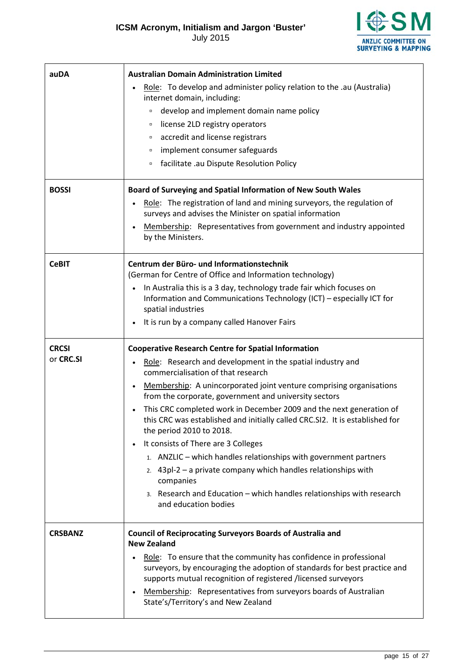July 2015



<span id="page-14-0"></span>

| auDA                      | <b>Australian Domain Administration Limited</b><br>Role: To develop and administer policy relation to the .au (Australia)<br>internet domain, including:<br>develop and implement domain name policy<br>$\Box$<br>license 2LD registry operators<br>$\Box$<br>accredit and license registrars<br>$\Box$<br>implement consumer safeguards<br>$\Box$<br>facilitate .au Dispute Resolution Policy<br>$\Box$                                                                                                                                                                                                                                                                                                                                                                       |
|---------------------------|--------------------------------------------------------------------------------------------------------------------------------------------------------------------------------------------------------------------------------------------------------------------------------------------------------------------------------------------------------------------------------------------------------------------------------------------------------------------------------------------------------------------------------------------------------------------------------------------------------------------------------------------------------------------------------------------------------------------------------------------------------------------------------|
| <b>BOSSI</b>              | Board of Surveying and Spatial Information of New South Wales<br>Role: The registration of land and mining surveyors, the regulation of<br>surveys and advises the Minister on spatial information<br>Membership: Representatives from government and industry appointed<br>by the Ministers.                                                                                                                                                                                                                                                                                                                                                                                                                                                                                  |
| <b>CeBIT</b>              | Centrum der Büro- und Informationstechnik<br>(German for Centre of Office and Information technology)<br>In Australia this is a 3 day, technology trade fair which focuses on<br>Information and Communications Technology (ICT) - especially ICT for<br>spatial industries<br>It is run by a company called Hanover Fairs                                                                                                                                                                                                                                                                                                                                                                                                                                                     |
| <b>CRCSI</b><br>or CRC.SI | <b>Cooperative Research Centre for Spatial Information</b><br>Role: Research and development in the spatial industry and<br>commercialisation of that research<br>Membership: A unincorporated joint venture comprising organisations<br>from the corporate, government and university sectors<br>This CRC completed work in December 2009 and the next generation of<br>this CRC was established and initially called CRC.SI2. It is established for<br>the period 2010 to 2018.<br>It consists of There are 3 Colleges<br>1. ANZLIC - which handles relationships with government partners<br>2. $43pl-2 - a$ private company which handles relationships with<br>companies<br>3. Research and Education - which handles relationships with research<br>and education bodies |
| <b>CRSBANZ</b>            | <b>Council of Reciprocating Surveyors Boards of Australia and</b><br><b>New Zealand</b><br>Role: To ensure that the community has confidence in professional<br>surveyors, by encouraging the adoption of standards for best practice and<br>supports mutual recognition of registered /licensed surveyors<br>Membership: Representatives from surveyors boards of Australian<br>$\bullet$<br>State's/Territory's and New Zealand                                                                                                                                                                                                                                                                                                                                              |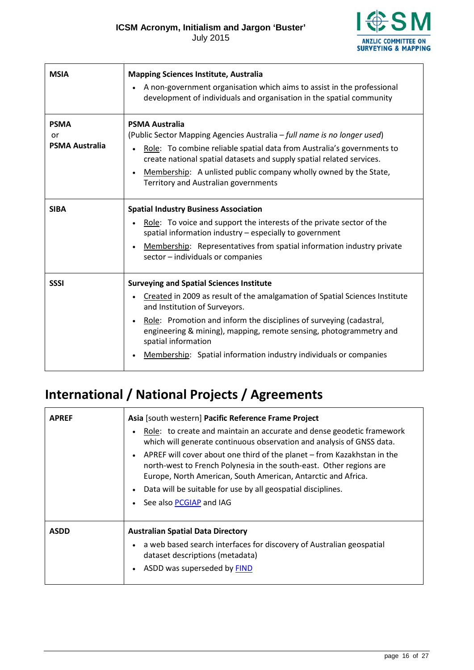**€SM ANZLIC COMMITTEE ON<br>SURVEYING & MAPPING** 

<span id="page-15-2"></span><span id="page-15-1"></span>

| <b>MSIA</b>                                | <b>Mapping Sciences Institute, Australia</b><br>A non-government organisation which aims to assist in the professional<br>development of individuals and organisation in the spatial community                                                                                                                                                                                                                        |
|--------------------------------------------|-----------------------------------------------------------------------------------------------------------------------------------------------------------------------------------------------------------------------------------------------------------------------------------------------------------------------------------------------------------------------------------------------------------------------|
| <b>PSMA</b><br>or<br><b>PSMA Australia</b> | <b>PSMA Australia</b><br>(Public Sector Mapping Agencies Australia – full name is no longer used)<br>Role: To combine reliable spatial data from Australia's governments to<br>create national spatial datasets and supply spatial related services.<br>Membership: A unlisted public company wholly owned by the State,<br>$\bullet$<br>Territory and Australian governments                                         |
| <b>SIBA</b>                                | <b>Spatial Industry Business Association</b><br>Role: To voice and support the interests of the private sector of the<br>spatial information industry - especially to government<br>Membership: Representatives from spatial information industry private<br>$\bullet$<br>sector - individuals or companies                                                                                                           |
| <b>SSSI</b>                                | <b>Surveying and Spatial Sciences Institute</b><br>Created in 2009 as result of the amalgamation of Spatial Sciences Institute<br>and Institution of Surveyors.<br>Role: Promotion and inform the disciplines of surveying (cadastral,<br>$\bullet$<br>engineering & mining), mapping, remote sensing, photogrammetry and<br>spatial information<br>Membership: Spatial information industry individuals or companies |

### <span id="page-15-3"></span><span id="page-15-0"></span>**International / National Projects / Agreements**

| <b>APREF</b> | Asia [south western] Pacific Reference Frame Project                                                                                                                                                                                                                                                                                 |
|--------------|--------------------------------------------------------------------------------------------------------------------------------------------------------------------------------------------------------------------------------------------------------------------------------------------------------------------------------------|
|              | Role: to create and maintain an accurate and dense geodetic framework<br>which will generate continuous observation and analysis of GNSS data.                                                                                                                                                                                       |
|              | APREF will cover about one third of the planet – from Kazakhstan in the<br>$\bullet$<br>north-west to French Polynesia in the south-east. Other regions are<br>Europe, North American, South American, Antarctic and Africa.<br>Data will be suitable for use by all geospatial disciplines.<br>$\bullet$<br>See also PCGIAP and IAG |
| <b>ASDD</b>  | <b>Australian Spatial Data Directory</b>                                                                                                                                                                                                                                                                                             |
|              | a web based search interfaces for discovery of Australian geospatial<br>dataset descriptions (metadata)                                                                                                                                                                                                                              |
|              | ASDD was superseded by FIND                                                                                                                                                                                                                                                                                                          |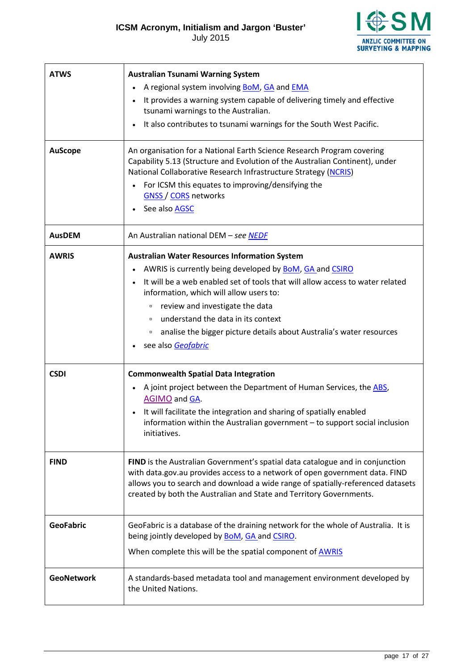**ESM ANZLIC COMMITTEE ON<br>SURVEYING & MAPPING** 

<span id="page-16-3"></span><span id="page-16-2"></span><span id="page-16-1"></span><span id="page-16-0"></span>

| <b>ATWS</b>       | <b>Australian Tsunami Warning System</b>                                                                                                                                                                                                                                                                                                    |
|-------------------|---------------------------------------------------------------------------------------------------------------------------------------------------------------------------------------------------------------------------------------------------------------------------------------------------------------------------------------------|
|                   | A regional system involving <b>BoM</b> , GA and <b>EMA</b>                                                                                                                                                                                                                                                                                  |
|                   | It provides a warning system capable of delivering timely and effective<br>tsunami warnings to the Australian.                                                                                                                                                                                                                              |
|                   | It also contributes to tsunami warnings for the South West Pacific.<br>$\bullet$                                                                                                                                                                                                                                                            |
| <b>AuScope</b>    | An organisation for a National Earth Science Research Program covering<br>Capability 5.13 (Structure and Evolution of the Australian Continent), under<br>National Collaborative Research Infrastructure Strategy (NCRIS)<br>For ICSM this equates to improving/densifying the<br><b>GNSS / CORS networks</b><br>See also AGSC<br>$\bullet$ |
| <b>AusDEM</b>     | An Australian national DEM - see NEDF                                                                                                                                                                                                                                                                                                       |
| <b>AWRIS</b>      | <b>Australian Water Resources Information System</b>                                                                                                                                                                                                                                                                                        |
|                   | AWRIS is currently being developed by BoM, GA and CSIRO                                                                                                                                                                                                                                                                                     |
|                   | It will be a web enabled set of tools that will allow access to water related<br>information, which will allow users to:                                                                                                                                                                                                                    |
|                   | review and investigate the data<br>$\Box$                                                                                                                                                                                                                                                                                                   |
|                   | understand the data in its context<br>$\Box$                                                                                                                                                                                                                                                                                                |
|                   | analise the bigger picture details about Australia's water resources<br>$\Box$                                                                                                                                                                                                                                                              |
|                   | see also Geofabric                                                                                                                                                                                                                                                                                                                          |
| <b>CSDI</b>       | <b>Commonwealth Spatial Data Integration</b>                                                                                                                                                                                                                                                                                                |
|                   | A joint project between the Department of Human Services, the ABS,<br>AGIMO and GA.                                                                                                                                                                                                                                                         |
|                   | It will facilitate the integration and sharing of spatially enabled<br>information within the Australian government - to support social inclusion                                                                                                                                                                                           |
|                   | initiatives.                                                                                                                                                                                                                                                                                                                                |
| <b>FIND</b>       | FIND is the Australian Government's spatial data catalogue and in conjunction<br>with data.gov.au provides access to a network of open government data. FIND<br>allows you to search and download a wide range of spatially-referenced datasets<br>created by both the Australian and State and Territory Governments.                      |
| <b>GeoFabric</b>  | GeoFabric is a database of the draining network for the whole of Australia. It is<br>being jointly developed by <b>BoM</b> , GA and CSIRO.                                                                                                                                                                                                  |
|                   | When complete this will be the spatial component of <b>AWRIS</b>                                                                                                                                                                                                                                                                            |
| <b>GeoNetwork</b> | A standards-based metadata tool and management environment developed by<br>the United Nations.                                                                                                                                                                                                                                              |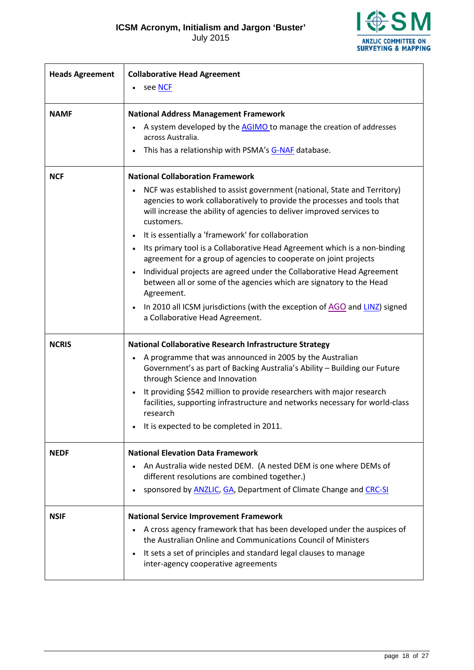July 2015



<span id="page-17-2"></span><span id="page-17-1"></span><span id="page-17-0"></span>

| <b>Heads Agreement</b> | <b>Collaborative Head Agreement</b>                                                                                                                                                                                                                      |
|------------------------|----------------------------------------------------------------------------------------------------------------------------------------------------------------------------------------------------------------------------------------------------------|
|                        | see NCF<br>$\bullet$                                                                                                                                                                                                                                     |
| <b>NAMF</b>            | <b>National Address Management Framework</b>                                                                                                                                                                                                             |
|                        | A system developed by the AGIMO to manage the creation of addresses<br>across Australia.                                                                                                                                                                 |
|                        | This has a relationship with PSMA's G-NAF database.                                                                                                                                                                                                      |
| <b>NCF</b>             | <b>National Collaboration Framework</b>                                                                                                                                                                                                                  |
|                        | NCF was established to assist government (national, State and Territory)<br>$\bullet$<br>agencies to work collaboratively to provide the processes and tools that<br>will increase the ability of agencies to deliver improved services to<br>customers. |
|                        | It is essentially a 'framework' for collaboration<br>$\bullet$                                                                                                                                                                                           |
|                        | Its primary tool is a Collaborative Head Agreement which is a non-binding<br>$\bullet$<br>agreement for a group of agencies to cooperate on joint projects                                                                                               |
|                        | Individual projects are agreed under the Collaborative Head Agreement<br>$\bullet$<br>between all or some of the agencies which are signatory to the Head<br>Agreement.                                                                                  |
|                        | In 2010 all ICSM jurisdictions (with the exception of AGO and LINZ) signed<br>$\bullet$<br>a Collaborative Head Agreement.                                                                                                                               |
| <b>NCRIS</b>           | <b>National Collaborative Research Infrastructure Strategy</b>                                                                                                                                                                                           |
|                        | A programme that was announced in 2005 by the Australian<br>$\bullet$<br>Government's as part of Backing Australia's Ability - Building our Future<br>through Science and Innovation                                                                     |
|                        | It providing \$542 million to provide researchers with major research<br>$\bullet$<br>facilities, supporting infrastructure and networks necessary for world-class<br>research                                                                           |
|                        | It is expected to be completed in 2011.                                                                                                                                                                                                                  |
| <b>NEDF</b>            | <b>National Elevation Data Framework</b>                                                                                                                                                                                                                 |
|                        | An Australia wide nested DEM. (A nested DEM is one where DEMs of<br>different resolutions are combined together.)                                                                                                                                        |
|                        | sponsored by <b>ANZLIC</b> , GA, Department of Climate Change and CRC-SI<br>$\bullet$                                                                                                                                                                    |
| <b>NSIF</b>            | <b>National Service Improvement Framework</b>                                                                                                                                                                                                            |
|                        | A cross agency framework that has been developed under the auspices of<br>$\bullet$<br>the Australian Online and Communications Council of Ministers                                                                                                     |
|                        | It sets a set of principles and standard legal clauses to manage<br>$\bullet$<br>inter-agency cooperative agreements                                                                                                                                     |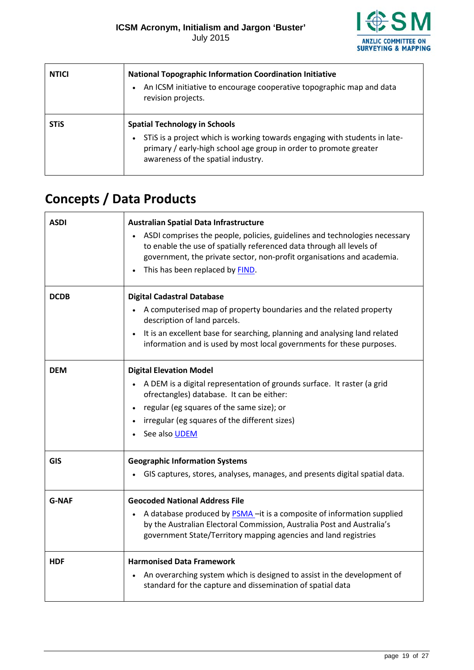

 $\blacksquare$ 

| <b>NTICI</b> | <b>National Topographic Information Coordination Initiative</b><br>An ICSM initiative to encourage cooperative topographic map and data<br>revision projects.                                                                              |
|--------------|--------------------------------------------------------------------------------------------------------------------------------------------------------------------------------------------------------------------------------------------|
| <b>STIS</b>  | <b>Spatial Technology in Schools</b><br>STIS is a project which is working towards engaging with students in late-<br>$\bullet$<br>primary / early-high school age group in order to promote greater<br>awareness of the spatial industry. |

# <span id="page-18-0"></span>**Concepts / Data Products**

<span id="page-18-3"></span><span id="page-18-2"></span><span id="page-18-1"></span>

| <b>ASDI</b>  | <b>Australian Spatial Data Infrastructure</b>                                                                                                                                                                              |
|--------------|----------------------------------------------------------------------------------------------------------------------------------------------------------------------------------------------------------------------------|
|              | ASDI comprises the people, policies, guidelines and technologies necessary                                                                                                                                                 |
|              | to enable the use of spatially referenced data through all levels of                                                                                                                                                       |
|              | government, the private sector, non-profit organisations and academia.                                                                                                                                                     |
|              | This has been replaced by FIND.<br>$\bullet$                                                                                                                                                                               |
| <b>DCDB</b>  | <b>Digital Cadastral Database</b>                                                                                                                                                                                          |
|              | A computerised map of property boundaries and the related property<br>$\bullet$<br>description of land parcels.                                                                                                            |
|              | It is an excellent base for searching, planning and analysing land related<br>$\bullet$<br>information and is used by most local governments for these purposes.                                                           |
|              |                                                                                                                                                                                                                            |
| <b>DEM</b>   | <b>Digital Elevation Model</b>                                                                                                                                                                                             |
|              | A DEM is a digital representation of grounds surface. It raster (a grid<br>$\bullet$<br>ofrectangles) database. It can be either:                                                                                          |
|              | regular (eg squares of the same size); or<br>$\bullet$                                                                                                                                                                     |
|              | irregular (eg squares of the different sizes)                                                                                                                                                                              |
|              | See also <b>UDEM</b><br>$\bullet$                                                                                                                                                                                          |
| <b>GIS</b>   | <b>Geographic Information Systems</b>                                                                                                                                                                                      |
|              | GIS captures, stores, analyses, manages, and presents digital spatial data.                                                                                                                                                |
| <b>G-NAF</b> | <b>Geocoded National Address File</b>                                                                                                                                                                                      |
|              | A database produced by <b>PSMA</b> -it is a composite of information supplied<br>by the Australian Electoral Commission, Australia Post and Australia's<br>government State/Territory mapping agencies and land registries |
| <b>HDF</b>   | <b>Harmonised Data Framework</b>                                                                                                                                                                                           |
|              | An overarching system which is designed to assist in the development of<br>$\bullet$                                                                                                                                       |
|              | standard for the capture and dissemination of spatial data                                                                                                                                                                 |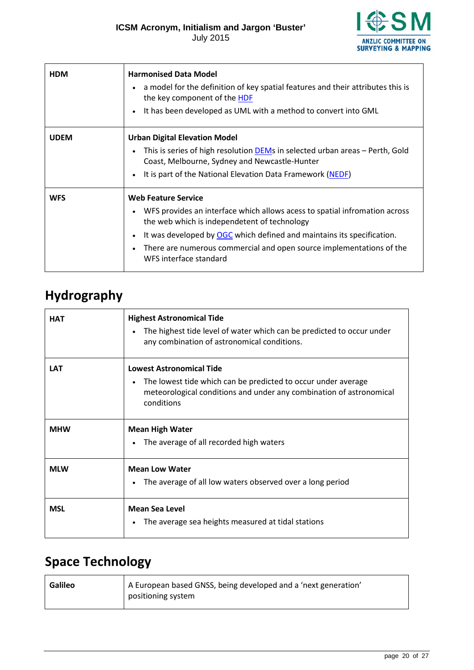

<span id="page-19-3"></span>

| <b>HDM</b>  | <b>Harmonised Data Model</b><br>a model for the definition of key spatial features and their attributes this is<br>$\bullet$<br>the key component of the HDF<br>It has been developed as UML with a method to convert into GML<br>$\bullet$                                                                                                                                 |
|-------------|-----------------------------------------------------------------------------------------------------------------------------------------------------------------------------------------------------------------------------------------------------------------------------------------------------------------------------------------------------------------------------|
| <b>UDEM</b> | <b>Urban Digital Elevation Model</b><br>This is series of high resolution DEMs in selected urban areas - Perth, Gold<br>Coast, Melbourne, Sydney and Newcastle-Hunter<br>It is part of the National Elevation Data Framework (NEDF)<br>$\bullet$                                                                                                                            |
| <b>WFS</b>  | <b>Web Feature Service</b><br>WFS provides an interface which allows acess to spatial infromation across<br>$\bullet$<br>the web which is independetent of technology<br>It was developed by OGC which defined and maintains its specification.<br>$\bullet$<br>There are numerous commercial and open source implementations of the<br>$\bullet$<br>WFS interface standard |

### <span id="page-19-2"></span><span id="page-19-0"></span>**Hydrography**

| <b>HAT</b> | <b>Highest Astronomical Tide</b><br>The highest tide level of water which can be predicted to occur under<br>any combination of astronomical conditions.                              |
|------------|---------------------------------------------------------------------------------------------------------------------------------------------------------------------------------------|
| <b>LAT</b> | <b>Lowest Astronomical Tide</b><br>The lowest tide which can be predicted to occur under average<br>meteorological conditions and under any combination of astronomical<br>conditions |
| <b>MHW</b> | <b>Mean High Water</b><br>The average of all recorded high waters                                                                                                                     |
| <b>MLW</b> | <b>Mean Low Water</b><br>The average of all low waters observed over a long period<br>$\bullet$                                                                                       |
| <b>MSL</b> | <b>Mean Sea Level</b><br>The average sea heights measured at tidal stations                                                                                                           |

### <span id="page-19-1"></span>**Space Technology**

<span id="page-19-4"></span>

| <b>Galileo</b> | A European based GNSS, being developed and a 'next generation'<br>positioning system |
|----------------|--------------------------------------------------------------------------------------|
|----------------|--------------------------------------------------------------------------------------|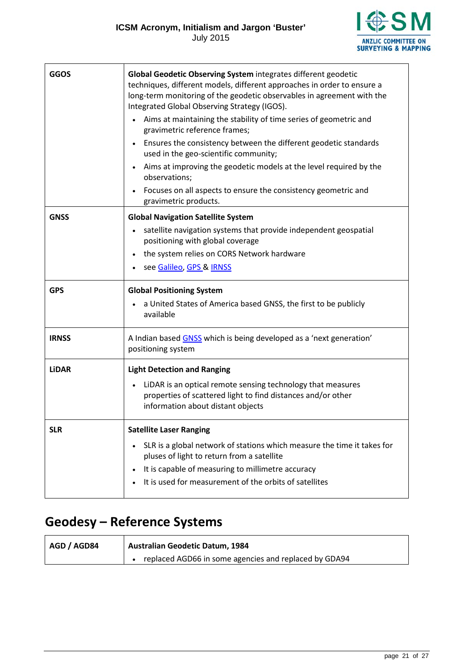

<span id="page-20-2"></span><span id="page-20-1"></span>

| <b>GGOS</b>  | Global Geodetic Observing System integrates different geodetic<br>techniques, different models, different approaches in order to ensure a<br>long-term monitoring of the geodetic observables in agreement with the<br>Integrated Global Observing Strategy (IGOS).<br>Aims at maintaining the stability of time series of geometric and<br>gravimetric reference frames;<br>Ensures the consistency between the different geodetic standards<br>used in the geo-scientific community;<br>Aims at improving the geodetic models at the level required by the<br>observations;<br>Focuses on all aspects to ensure the consistency geometric and |
|--------------|-------------------------------------------------------------------------------------------------------------------------------------------------------------------------------------------------------------------------------------------------------------------------------------------------------------------------------------------------------------------------------------------------------------------------------------------------------------------------------------------------------------------------------------------------------------------------------------------------------------------------------------------------|
|              | gravimetric products.                                                                                                                                                                                                                                                                                                                                                                                                                                                                                                                                                                                                                           |
| <b>GNSS</b>  | <b>Global Navigation Satellite System</b>                                                                                                                                                                                                                                                                                                                                                                                                                                                                                                                                                                                                       |
|              | satellite navigation systems that provide independent geospatial<br>positioning with global coverage                                                                                                                                                                                                                                                                                                                                                                                                                                                                                                                                            |
|              | the system relies on CORS Network hardware                                                                                                                                                                                                                                                                                                                                                                                                                                                                                                                                                                                                      |
|              | see Galileo, GPS & IRNSS                                                                                                                                                                                                                                                                                                                                                                                                                                                                                                                                                                                                                        |
| <b>GPS</b>   | <b>Global Positioning System</b>                                                                                                                                                                                                                                                                                                                                                                                                                                                                                                                                                                                                                |
|              | a United States of America based GNSS, the first to be publicly<br>available                                                                                                                                                                                                                                                                                                                                                                                                                                                                                                                                                                    |
| <b>IRNSS</b> | A Indian based GNSS which is being developed as a 'next generation'<br>positioning system                                                                                                                                                                                                                                                                                                                                                                                                                                                                                                                                                       |
| <b>LiDAR</b> | <b>Light Detection and Ranging</b>                                                                                                                                                                                                                                                                                                                                                                                                                                                                                                                                                                                                              |
|              | LiDAR is an optical remote sensing technology that measures<br>properties of scattered light to find distances and/or other<br>information about distant objects                                                                                                                                                                                                                                                                                                                                                                                                                                                                                |
| <b>SLR</b>   | <b>Satellite Laser Ranging</b>                                                                                                                                                                                                                                                                                                                                                                                                                                                                                                                                                                                                                  |
|              | SLR is a global network of stations which measure the time it takes for<br>pluses of light to return from a satellite                                                                                                                                                                                                                                                                                                                                                                                                                                                                                                                           |
|              | It is capable of measuring to millimetre accuracy                                                                                                                                                                                                                                                                                                                                                                                                                                                                                                                                                                                               |
|              | It is used for measurement of the orbits of satellites                                                                                                                                                                                                                                                                                                                                                                                                                                                                                                                                                                                          |

### <span id="page-20-3"></span><span id="page-20-0"></span>**Geodesy – Reference Systems**

| AGD / AGD84 | <b>Australian Geodetic Datum, 1984</b>                |
|-------------|-------------------------------------------------------|
|             | replaced AGD66 in some agencies and replaced by GDA94 |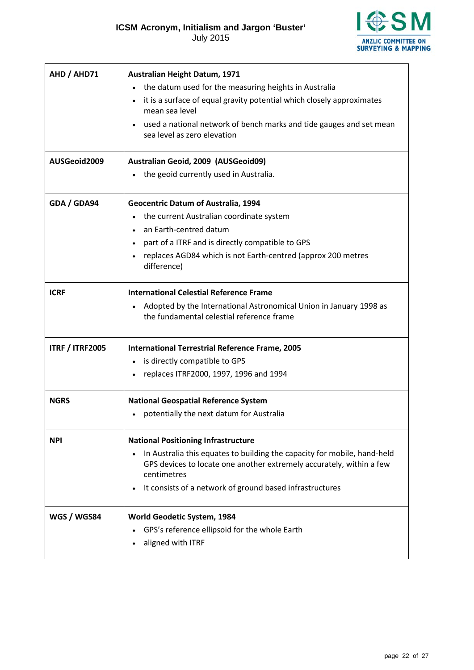July 2015



| AHD / AHD71            | Australian Height Datum, 1971                                                                                                                                                                                               |
|------------------------|-----------------------------------------------------------------------------------------------------------------------------------------------------------------------------------------------------------------------------|
|                        | the datum used for the measuring heights in Australia                                                                                                                                                                       |
|                        | it is a surface of equal gravity potential which closely approximates<br>mean sea level                                                                                                                                     |
|                        | used a national network of bench marks and tide gauges and set mean<br>sea level as zero elevation                                                                                                                          |
| AUSGeoid2009           | Australian Geoid, 2009 (AUSGeoid09)                                                                                                                                                                                         |
|                        | the geoid currently used in Australia.                                                                                                                                                                                      |
| GDA / GDA94            | <b>Geocentric Datum of Australia, 1994</b>                                                                                                                                                                                  |
|                        | the current Australian coordinate system                                                                                                                                                                                    |
|                        | an Earth-centred datum                                                                                                                                                                                                      |
|                        | part of a ITRF and is directly compatible to GPS                                                                                                                                                                            |
|                        | replaces AGD84 which is not Earth-centred (approx 200 metres<br>difference)                                                                                                                                                 |
| <b>ICRF</b>            | <b>International Celestial Reference Frame</b>                                                                                                                                                                              |
|                        | Adopted by the International Astronomical Union in January 1998 as<br>the fundamental celestial reference frame                                                                                                             |
| <b>ITRF / ITRF2005</b> | International Terrestrial Reference Frame, 2005                                                                                                                                                                             |
|                        | is directly compatible to GPS                                                                                                                                                                                               |
|                        | replaces ITRF2000, 1997, 1996 and 1994                                                                                                                                                                                      |
| <b>NGRS</b>            | <b>National Geospatial Reference System</b>                                                                                                                                                                                 |
|                        | potentially the next datum for Australia                                                                                                                                                                                    |
| <b>NPI</b>             | <b>National Positioning Infrastructure</b>                                                                                                                                                                                  |
|                        | In Australia this equates to building the capacity for mobile, hand-held<br>GPS devices to locate one another extremely accurately, within a few<br>centimetres<br>It consists of a network of ground based infrastructures |
|                        |                                                                                                                                                                                                                             |
| WGS / WGS84            | World Geodetic System, 1984                                                                                                                                                                                                 |
|                        | GPS's reference ellipsoid for the whole Earth                                                                                                                                                                               |
|                        | aligned with ITRF                                                                                                                                                                                                           |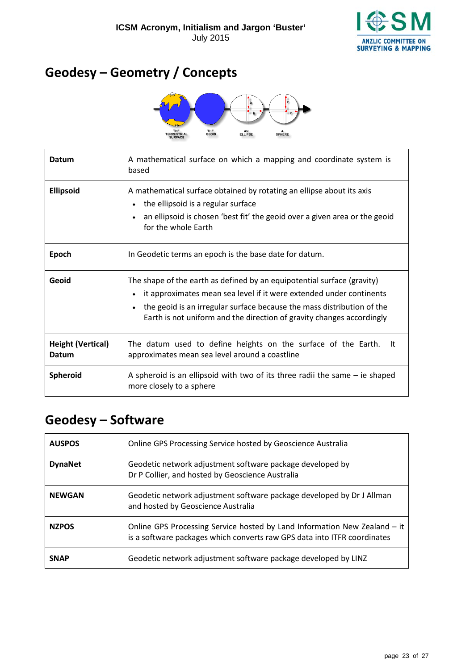

### <span id="page-22-0"></span>**Geodesy – Geometry / Concepts**



| Datum                             | A mathematical surface on which a mapping and coordinate system is<br>based                                                                                                                                                                                                                       |
|-----------------------------------|---------------------------------------------------------------------------------------------------------------------------------------------------------------------------------------------------------------------------------------------------------------------------------------------------|
| <b>Ellipsoid</b>                  | A mathematical surface obtained by rotating an ellipse about its axis<br>the ellipsoid is a regular surface<br>an ellipsoid is chosen 'best fit' the geoid over a given area or the geoid<br>for the whole Earth                                                                                  |
| Epoch                             | In Geodetic terms an epoch is the base date for datum.                                                                                                                                                                                                                                            |
| Geoid                             | The shape of the earth as defined by an equipotential surface (gravity)<br>it approximates mean sea level if it were extended under continents<br>the geoid is an irregular surface because the mass distribution of the<br>Earth is not uniform and the direction of gravity changes accordingly |
| <b>Height (Vertical)</b><br>Datum | The datum used to define heights on the surface of the Earth.<br>lt.<br>approximates mean sea level around a coastline                                                                                                                                                                            |
| <b>Spheroid</b>                   | A spheroid is an ellipsoid with two of its three radii the same $-$ ie shaped<br>more closely to a sphere                                                                                                                                                                                         |

### <span id="page-22-1"></span>**Geodesy – Software**

| <b>AUSPOS</b>  | Online GPS Processing Service hosted by Geoscience Australia                                                                                          |
|----------------|-------------------------------------------------------------------------------------------------------------------------------------------------------|
| <b>DynaNet</b> | Geodetic network adjustment software package developed by<br>Dr P Collier, and hosted by Geoscience Australia                                         |
| <b>NEWGAN</b>  | Geodetic network adjustment software package developed by Dr J Allman<br>and hosted by Geoscience Australia                                           |
| <b>NZPOS</b>   | Online GPS Processing Service hosted by Land Information New Zealand - it<br>is a software packages which converts raw GPS data into ITFR coordinates |
| <b>SNAP</b>    | Geodetic network adjustment software package developed by LINZ                                                                                        |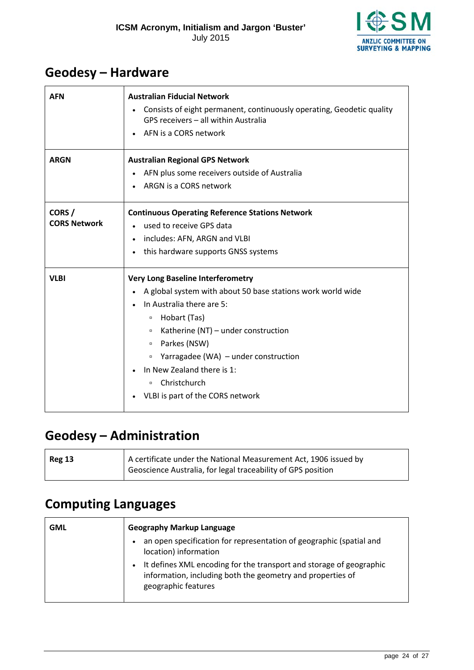

### <span id="page-23-0"></span>**Geodesy – Hardware**

<span id="page-23-3"></span>

| <b>AFN</b>          | <b>Australian Fiducial Network</b><br>Consists of eight permanent, continuously operating, Geodetic quality<br>GPS receivers - all within Australia<br>AFN is a CORS network |  |
|---------------------|------------------------------------------------------------------------------------------------------------------------------------------------------------------------------|--|
| <b>ARGN</b>         | <b>Australian Regional GPS Network</b>                                                                                                                                       |  |
|                     | AFN plus some receivers outside of Australia                                                                                                                                 |  |
|                     | ARGN is a CORS network                                                                                                                                                       |  |
| CORS/               | <b>Continuous Operating Reference Stations Network</b>                                                                                                                       |  |
| <b>CORS Network</b> | used to receive GPS data                                                                                                                                                     |  |
|                     | includes: AFN, ARGN and VLBI                                                                                                                                                 |  |
|                     | this hardware supports GNSS systems                                                                                                                                          |  |
| <b>VLBI</b>         | <b>Very Long Baseline Interferometry</b>                                                                                                                                     |  |
|                     | A global system with about 50 base stations work world wide                                                                                                                  |  |
|                     | In Australia there are 5:                                                                                                                                                    |  |
|                     | Hobart (Tas)<br>$\Box$                                                                                                                                                       |  |
|                     | Katherine (NT) - under construction<br>$\Box$                                                                                                                                |  |
|                     | Parkes (NSW)<br>$\Box$                                                                                                                                                       |  |
|                     | Yarragadee (WA) - under construction<br>$\Box$                                                                                                                               |  |
|                     | In New Zealand there is 1:                                                                                                                                                   |  |
|                     | Christchurch<br>$\Box$                                                                                                                                                       |  |
|                     | VLBI is part of the CORS network                                                                                                                                             |  |

### <span id="page-23-1"></span>**Geodesy – Administration**

| <b>Reg 13</b> | A certificate under the National Measurement Act, 1906 issued by |
|---------------|------------------------------------------------------------------|
|               | Geoscience Australia, for legal traceability of GPS position     |

### <span id="page-23-2"></span>**Computing Languages**

| <b>GML</b> | <b>Geography Markup Language</b>                                                                                                                                      |  |
|------------|-----------------------------------------------------------------------------------------------------------------------------------------------------------------------|--|
|            | an open specification for representation of geographic (spatial and<br>$\bullet$<br>location) information                                                             |  |
|            | It defines XML encoding for the transport and storage of geographic<br>$\bullet$<br>information, including both the geometry and properties of<br>geographic features |  |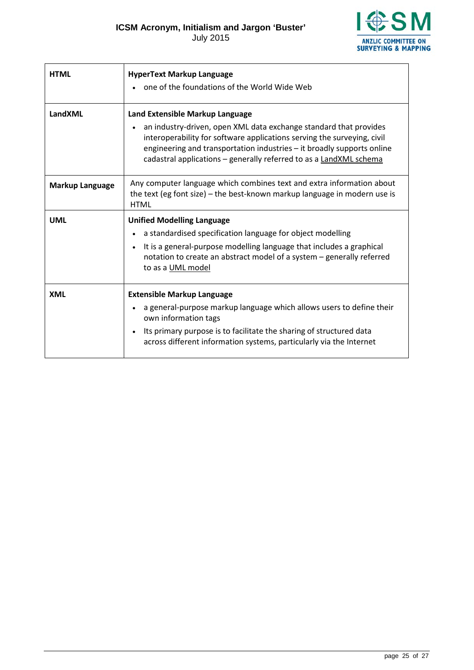**ESM ANZLIC COMMITTEE ON<br>SURVEYING & MAPPING** 

| <b>HTML</b>            | <b>HyperText Markup Language</b><br>one of the foundations of the World Wide Web                                                                                                                                                                                                                                                             |
|------------------------|----------------------------------------------------------------------------------------------------------------------------------------------------------------------------------------------------------------------------------------------------------------------------------------------------------------------------------------------|
| LandXML                | Land Extensible Markup Language<br>an industry-driven, open XML data exchange standard that provides<br>$\bullet$<br>interoperability for software applications serving the surveying, civil<br>engineering and transportation industries - it broadly supports online<br>cadastral applications - generally referred to as a LandXML schema |
| <b>Markup Language</b> | Any computer language which combines text and extra information about<br>the text (eg font size) - the best-known markup language in modern use is<br><b>HTML</b>                                                                                                                                                                            |
| <b>UML</b>             | <b>Unified Modelling Language</b><br>a standardised specification language for object modelling<br>It is a general-purpose modelling language that includes a graphical<br>$\bullet$<br>notation to create an abstract model of a system - generally referred<br>to as a UML model                                                           |
| <b>XML</b>             | <b>Extensible Markup Language</b><br>a general-purpose markup language which allows users to define their<br>$\bullet$<br>own information tags<br>Its primary purpose is to facilitate the sharing of structured data<br>$\bullet$<br>across different information systems, particularly via the Internet                                    |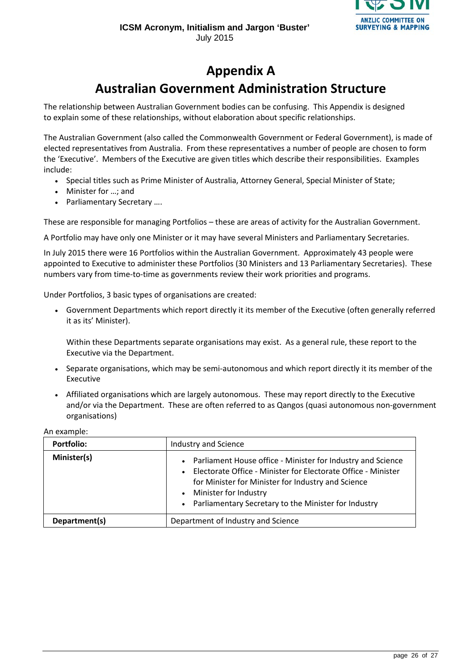

### **Appendix A**

### **Australian Government Administration Structure**

<span id="page-25-0"></span>The relationship between Australian Government bodies can be confusing. This Appendix is designed to explain some of these relationships, without elaboration about specific relationships.

The Australian Government (also called the Commonwealth Government or Federal Government), is made of elected representatives from Australia. From these representatives a number of people are chosen to form the 'Executive'. Members of the Executive are given titles which describe their responsibilities. Examples include:

- Special titles such as Prime Minister of Australia, Attorney General, Special Minister of State;
- Minister for …; and
- Parliamentary Secretary ….

These are responsible for managing Portfolios – these are areas of activity for the Australian Government.

A Portfolio may have only one Minister or it may have several Ministers and Parliamentary Secretaries.

In July 2015 there were 16 Portfolios within the Australian Government. Approximately 43 people were appointed to Executive to administer these Portfolios (30 Ministers and 13 Parliamentary Secretaries). These numbers vary from time-to-time as governments review their work priorities and programs.

Under Portfolios, 3 basic types of organisations are created:

• Government Departments which report directly it its member of the Executive (often generally referred it as its' Minister).

Within these Departments separate organisations may exist. As a general rule, these report to the Executive via the Department.

- Separate organisations, which may be semi-autonomous and which report directly it its member of the Executive
- Affiliated organisations which are largely autonomous. These may report directly to the Executive and/or via the Department. These are often referred to as Qangos (quasi autonomous non-government organisations)

| <b>Portfolio:</b> | Industry and Science                                                                                                                                                                                                                                                                   |
|-------------------|----------------------------------------------------------------------------------------------------------------------------------------------------------------------------------------------------------------------------------------------------------------------------------------|
| Minister(s)       | • Parliament House office - Minister for Industry and Science<br>Electorate Office - Minister for Electorate Office - Minister<br>$\bullet$<br>for Minister for Minister for Industry and Science<br>• Minister for Industry<br>• Parliamentary Secretary to the Minister for Industry |
| Department(s)     | Department of Industry and Science                                                                                                                                                                                                                                                     |

An example: